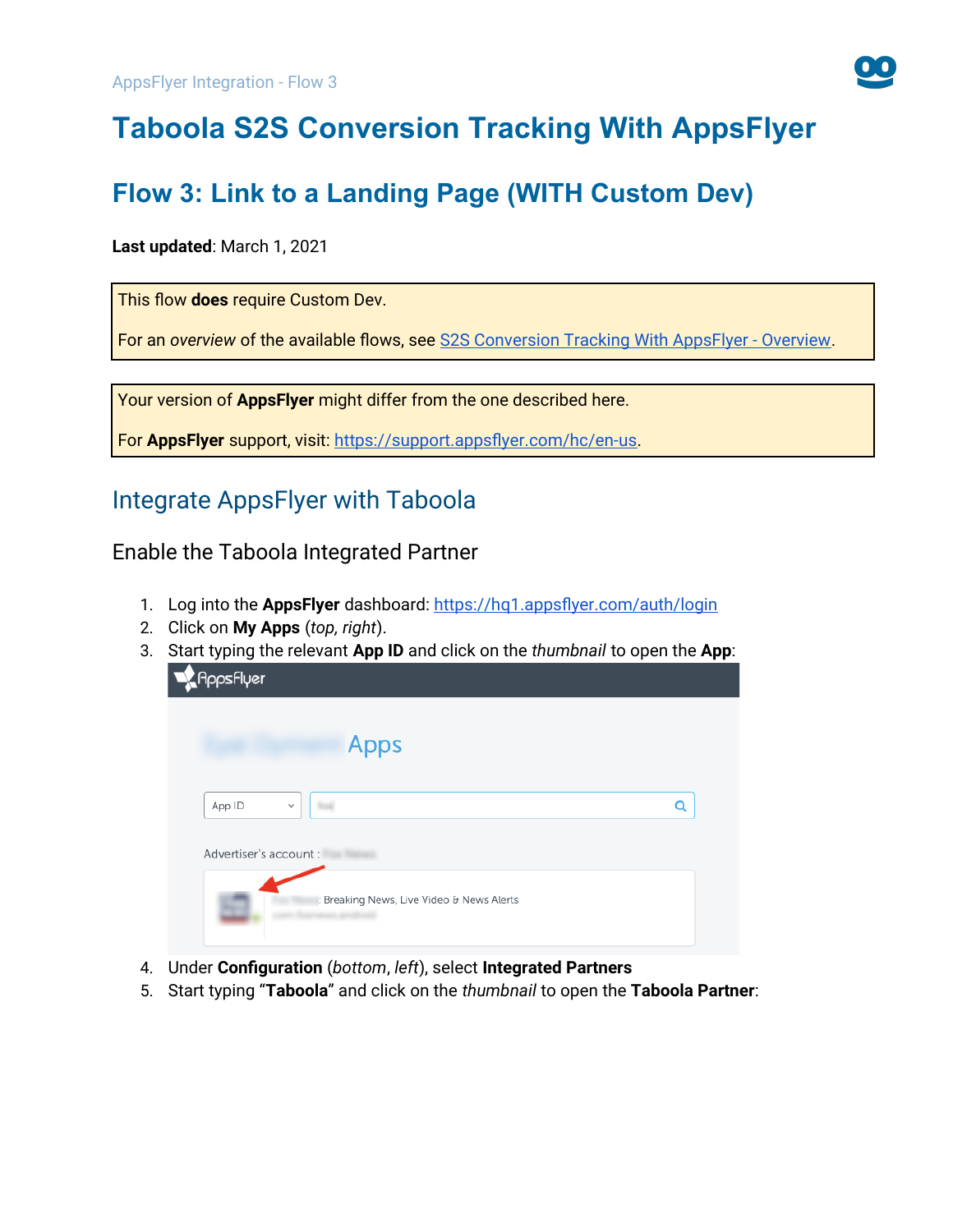

# **Taboola S2S Conversion Tracking With AppsFlyer**

# **Flow 3: Link to a Landing Page (WITH Custom Dev)**

#### **Last updated**: March 1, 2021

This flow **does** require Custom Dev.

For an *overview* of the available flows, see [S2S Conversion Tracking With AppsFlyer - Overview](https://help.taboola.com/hc/en-us/articles/1500002864342).

Your version of **AppsFlyer** might differ from the one described here.

For **AppsFlyer** support, visit: <https://support.appsflyer.com/hc/en-us>.

## Integrate AppsFlyer with Taboola

<span id="page-0-0"></span>Enable the Taboola Integrated Partner

- 1. Log into the **AppsFlyer** dashboard: <https://hq1.appsflyer.com/auth/login>
- 2. Click on **My Apps** (*top, right*).
- 3. Start typing the relevant **App ID** and click on the *thumbnail* to open the **App**:

| <b>Appsflyer</b>       |                                           |   |
|------------------------|-------------------------------------------|---|
|                        | <b>Apps</b>                               |   |
| App ID                 | $\checkmark$                              | Q |
| Advertiser's account : |                                           |   |
|                        | : Breaking News, Live Video & News Alerts |   |

- 4. Under **Configuration** (*bottom*, *left*), select **Integrated Partners**
- 5. Start typing "**Taboola**" and click on the *thumbnail* to open the **Taboola Partner**: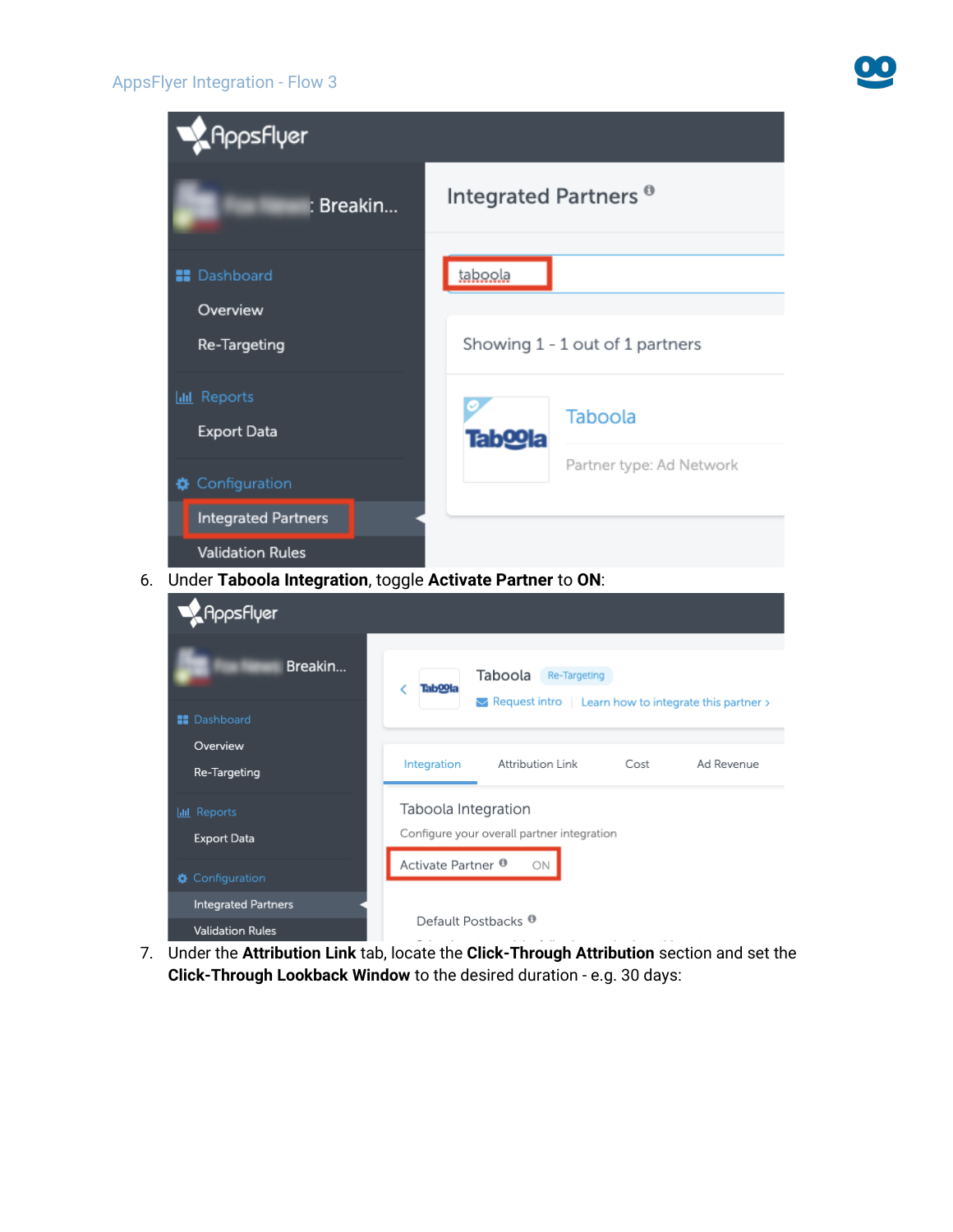#### AppsFlyer Integration - Flow 3

**Validation Rules** 



7. Under the **Attribution Link** tab, locate the **Click-Through Attribution** section and set the **Click-Through Lookback Window** to the desired duration - e.g. 30 days:

Default Postbacks<sup>®</sup>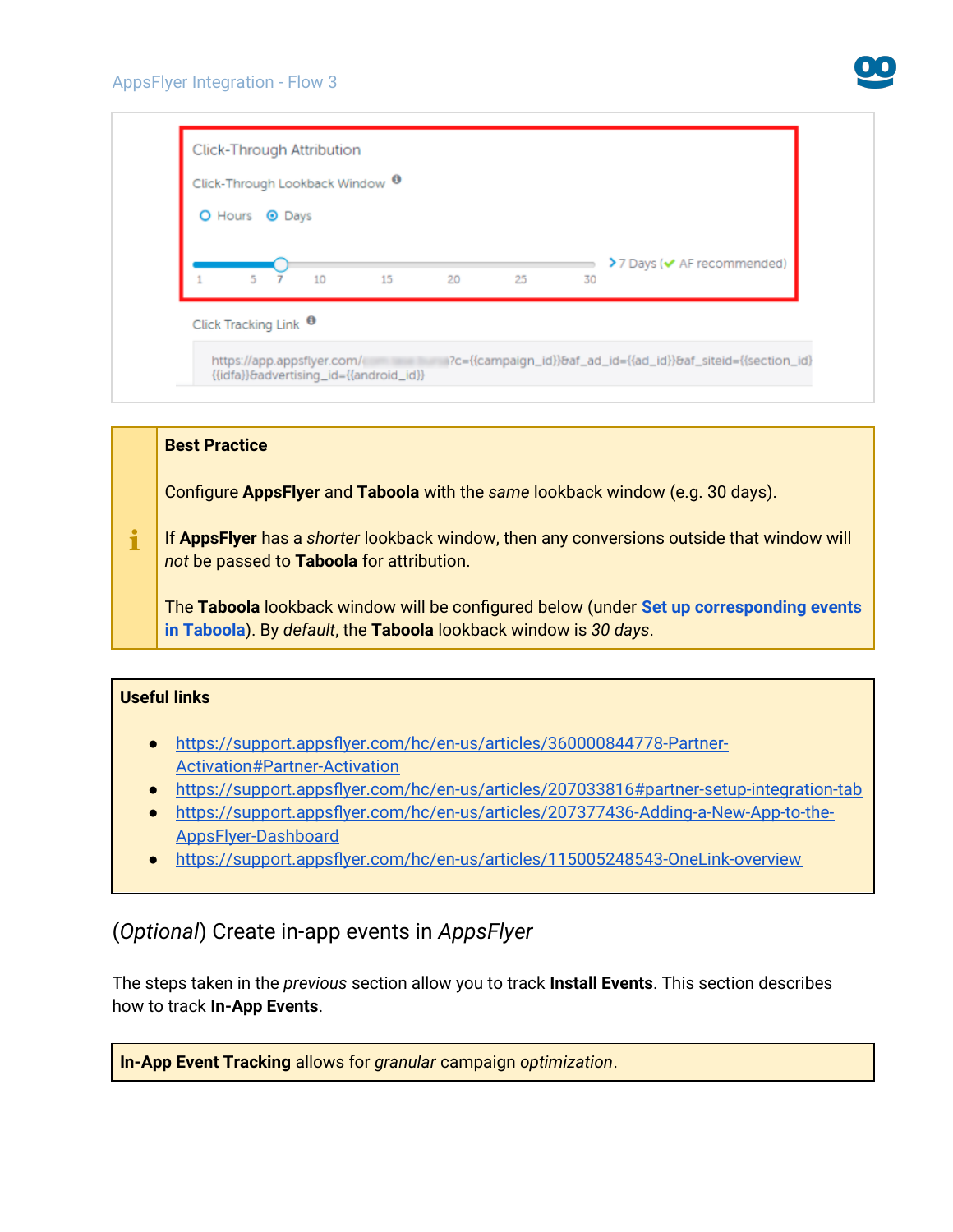

| Click-Through Lookback Window <sup>0</sup> |    |    |    |    |                                              |
|--------------------------------------------|----|----|----|----|----------------------------------------------|
| O Hours <sup>O</sup> Days                  |    |    |    |    |                                              |
|                                            |    |    |    |    | $\geq 7$ Days ( $\checkmark$ AF recommended) |
| 5 <sub>7</sub><br>10                       | 15 | 20 | 25 | 30 |                                              |
| Click Tracking Link <sup>0</sup>           |    |    |    |    |                                              |

#### **Best Practice**

Configure **AppsFlyer** and **Taboola** with the *same* lookback window (e.g. 30 days).

 $\mathbf i$ If **AppsFlyer** has a *shorter* lookback window, then any conversions outside that window will *not* be passed to **Taboola** for attribution.

The **Taboola** lookback window will be configured below (under **[Set up corresponding events](#page-9-0) [in Taboola](#page-9-0)**). By *default*, the **Taboola** lookback window is *30 days*.

#### **Useful links**

- ● [https://support.appsflyer.com/hc/en-us/articles/360000844778-Partner-](https://support.appsflyer.com/hc/en-us/articles/360000844778-Partner-Activation#Partner-Activation)[Activation#Partner-Activation](https://support.appsflyer.com/hc/en-us/articles/360000844778-Partner-Activation#Partner-Activation)
- <https://support.appsflyer.com/hc/en-us/articles/207033816#partner-setup-integration-tab>
- [https://support.appsflyer.com/hc/en-us/articles/207377436-Adding-a-New-App-to-the-](https://support.appsflyer.com/hc/en-us/articles/207377436-Adding-a-New-App-to-the-AppsFlyer-Dashboard)[AppsFlyer-Dashboard](https://support.appsflyer.com/hc/en-us/articles/207377436-Adding-a-New-App-to-the-AppsFlyer-Dashboard)
- <https://support.appsflyer.com/hc/en-us/articles/115005248543-OneLink-overview>

## (*Optional*) Create in-app events in *AppsFlyer*

The steps taken in the *previous* section allow you to track **Install Events**. This section describes how to track **In-App Events**.

**In-App Event Tracking** allows for *granular* campaign *optimization*.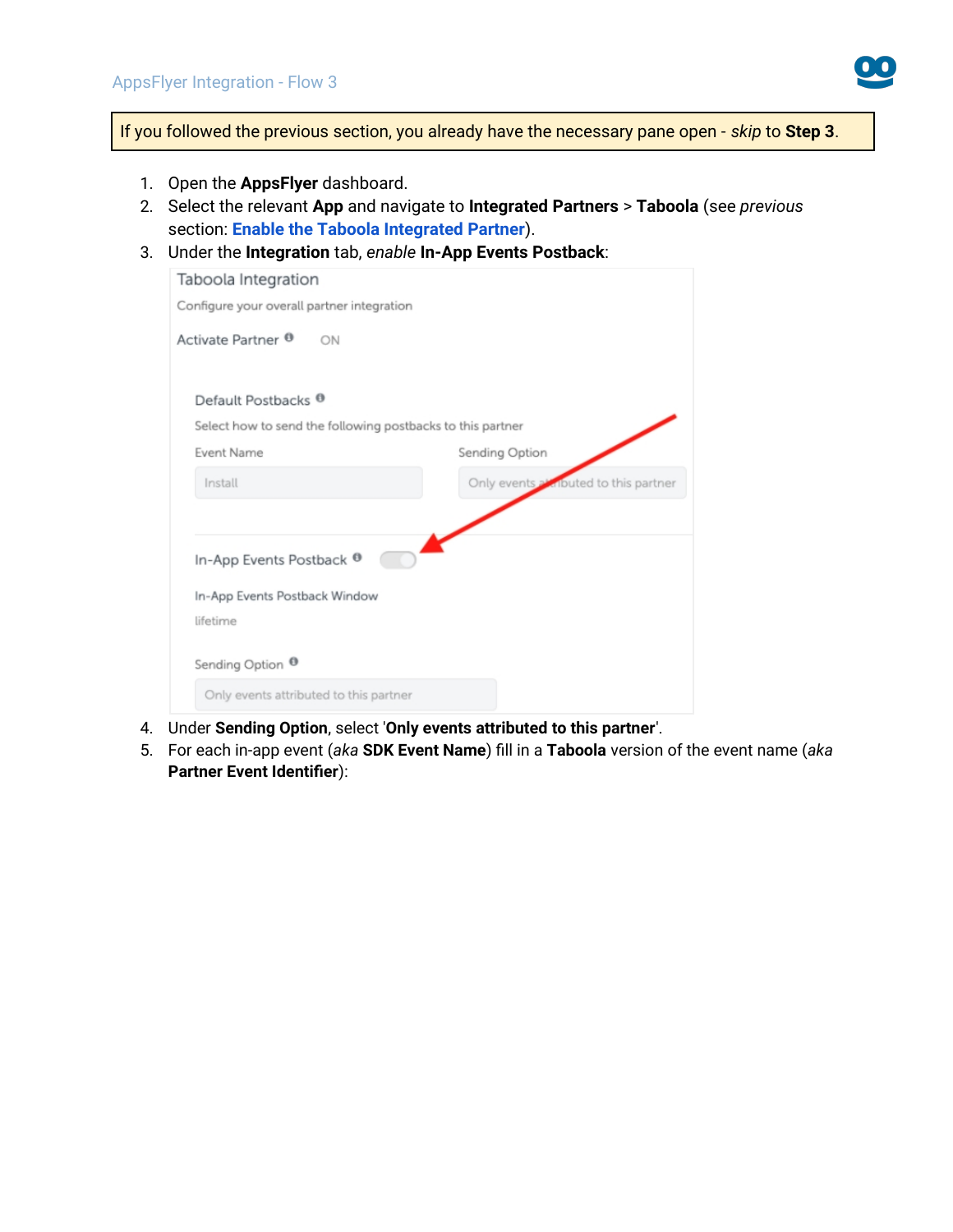

If you followed the previous section, you already have the necessary pane open - *skip* to **Step 3**.

- 1. Open the **AppsFlyer** dashboard.
- 2. Select the relevant **App** and navigate to **Integrated Partners** > **Taboola** (see *previous*  section: **[Enable the Taboola Integrated Partner](#page-0-0)**).
- 3. Under the **Integration** tab, *enable* **In-App Events Postback**:

| Taboola Integration                        |                                                            |  |  |  |  |  |  |
|--------------------------------------------|------------------------------------------------------------|--|--|--|--|--|--|
| Configure your overall partner integration |                                                            |  |  |  |  |  |  |
| Activate Partner <sup>®</sup><br>ON        |                                                            |  |  |  |  |  |  |
| Default Postbacks <sup>O</sup>             |                                                            |  |  |  |  |  |  |
|                                            | Select how to send the following postbacks to this partner |  |  |  |  |  |  |
| <b>Event Name</b>                          | Sending Option                                             |  |  |  |  |  |  |
| Install                                    | Only events a knouted to this partner                      |  |  |  |  |  |  |
|                                            |                                                            |  |  |  |  |  |  |
| In-App Events Postback <sup>®</sup>        |                                                            |  |  |  |  |  |  |
| In-App Events Postback Window              |                                                            |  |  |  |  |  |  |
| lifetime                                   |                                                            |  |  |  |  |  |  |
| Sending Option <sup>®</sup>                |                                                            |  |  |  |  |  |  |
| Only events attributed to this partner     |                                                            |  |  |  |  |  |  |

- 4. Under **Sending Option**, select '**Only events attributed to this partner**'.
- 5. For each in-app event (*aka* **SDK Event Name**) fill in a **Taboola** version of the event name (*aka* **Partner Event Identifier**):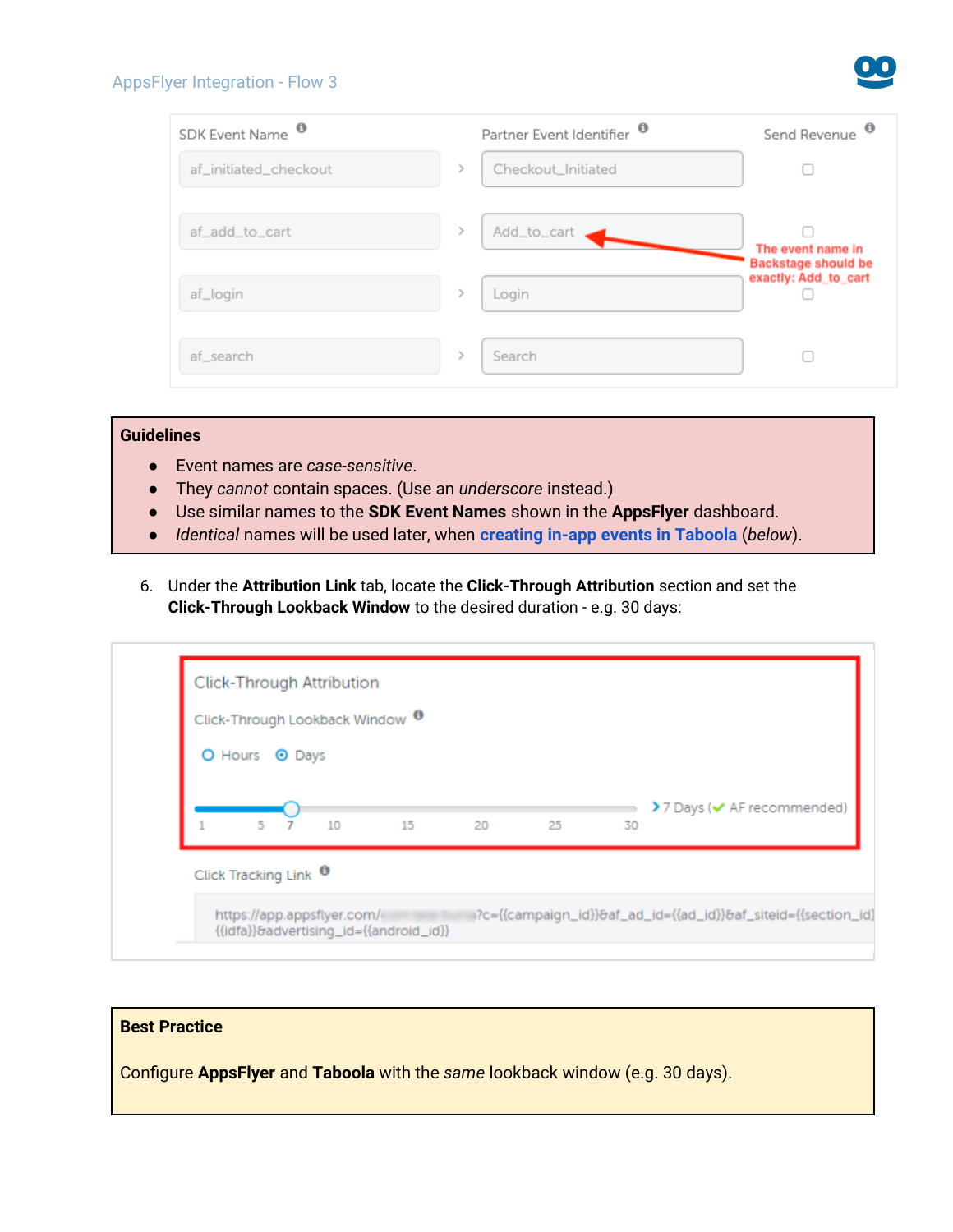#### AppsFlyer Integration - Flow 3

| SDK Event Name <sup>O</sup> | Partner Event Identifier <sup><sup>®</sup></sup> | $\bullet$<br>Send Revenue                       |
|-----------------------------|--------------------------------------------------|-------------------------------------------------|
| af_initiated_checkout       | Checkout_Initiated                               |                                                 |
| af_add_to_cart              | Add_to_cart                                      | The event name in<br><b>Backstage should be</b> |
| af_login                    | Login                                            | exactly: Add_to_cart                            |
| af_search                   | Search                                           |                                                 |

#### **Guidelines**

- Event names are *case-sensitive*.
- They *cannot* contain spaces. (Use an *underscore* instead.)
- Use similar names to the **SDK Event Names** shown in the **AppsFlyer** dashboard.
- *Identical* names will be used later, when **[creating in-app events in Taboola](#page-10-0)** (*below*).
- 6. Under the **Attribution Link** tab, locate the **Click-Through Attribution** section and set the **Click-Through Lookback Window** to the desired duration - e.g. 30 days:

| Click-Through Lookback Window <sup>0</sup> |    |    |    |    |    |                            |
|--------------------------------------------|----|----|----|----|----|----------------------------|
| O Hours <sup>O</sup> Days                  |    |    |    |    |    |                            |
|                                            |    |    |    |    |    | >7 Days (v AF recommended) |
| 5 <sub>7</sub>                             | 10 | 15 | 20 | 25 | 30 |                            |

#### **Best Practice**

Configure **AppsFlyer** and **Taboola** with the *same* lookback window (e.g. 30 days).

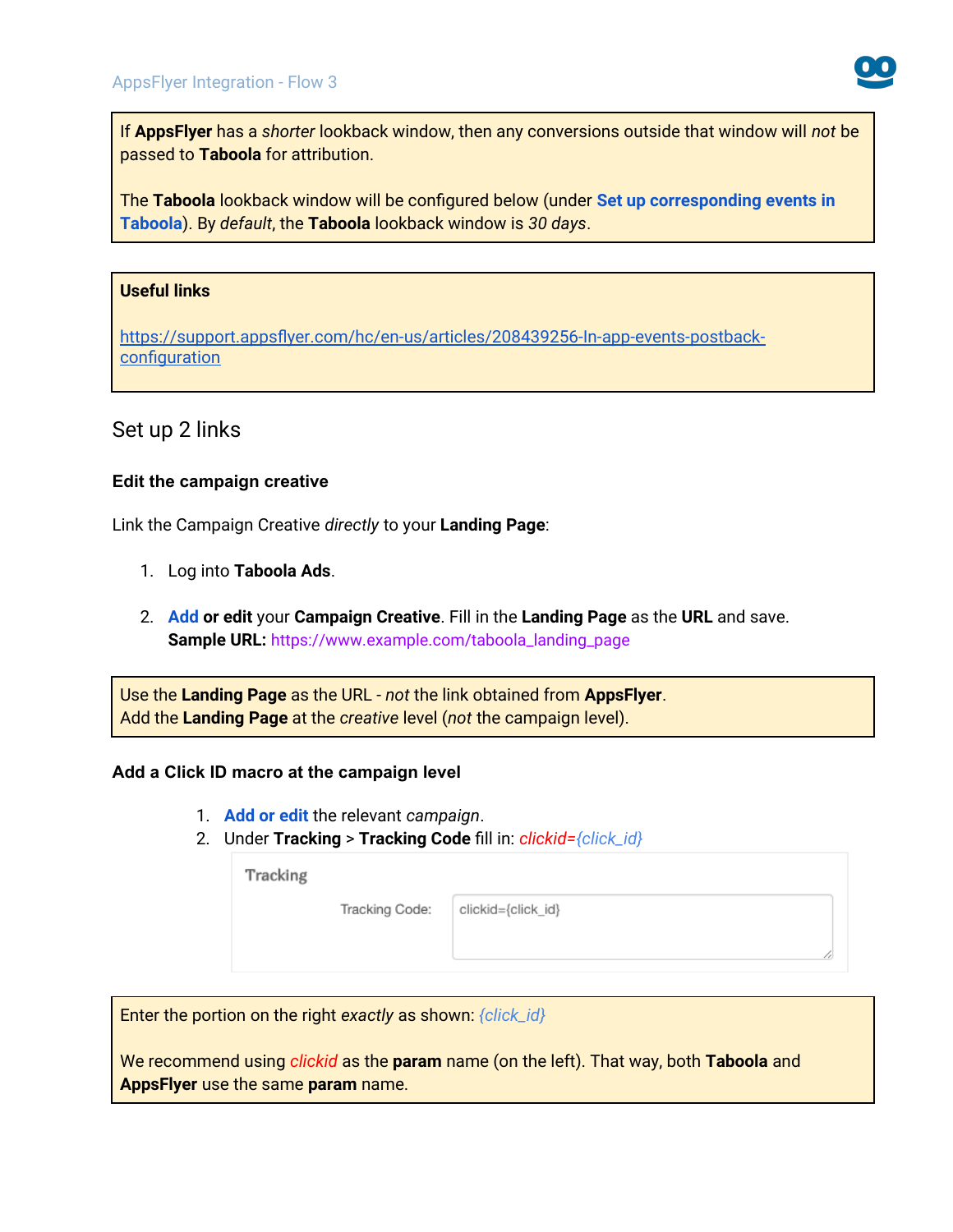

If **AppsFlyer** has a *shorter* lookback window, then any conversions outside that window will *not* be passed to **Taboola** for attribution.

The **Taboola** lookback window will be configured below (under **[Set up corresponding events in](#page-9-1)  [Taboola](#page-9-1)**). By *default*, the **Taboola** lookback window is *30 days*.

#### **Useful links**

[https://support.appsflyer.com/hc/en-us/articles/208439256-In-app-events-postback](https://support.appsflyer.com/hc/en-us/articles/208439256-In-app-events-postback-configuration)**[configuration](https://support.appsflyer.com/hc/en-us/articles/208439256-In-app-events-postback-configuration)** 

### Set up 2 links

#### **Edit the campaign creative**

Link the Campaign Creative *directly* to your **Landing Page**:

- 1. Log into **Taboola Ads**.
- 2. **[Add](https://help.taboola.com/hc/en-us/articles/360053153154-Add-Creative-Items-to-a-Campaign) or edit** your **Campaign Creative**. Fill in the **Landing Page** as the **URL** and save. **Sample URL:** https://www.example.com/taboola\_landing\_page

Use the **Landing Page** as the URL - *not* the link obtained from **AppsFlyer**. Add the **Landing Page** at the *creative* level (*not* the campaign level).

#### **Add a Click ID macro at the campaign level**

- 1. **[Add or edit](https://help.taboola.com/hc/en-us/articles/115006032108-Adding-and-Editing-Campaign-Items)** the relevant *campaign*.
- 2. Under **Tracking** > **Tracking Code** fill in: *clickid={click\_id}*

| Tracking |                |                    |
|----------|----------------|--------------------|
|          | Tracking Code: | clickid={click_id} |
|          |                |                    |
|          |                |                    |

Enter the portion on the right *exactly* as shown: *{click\_id}*

We recommend using *clickid* as the **param** name (on the left). That way, both **Taboola** and **AppsFlyer** use the same **param** name.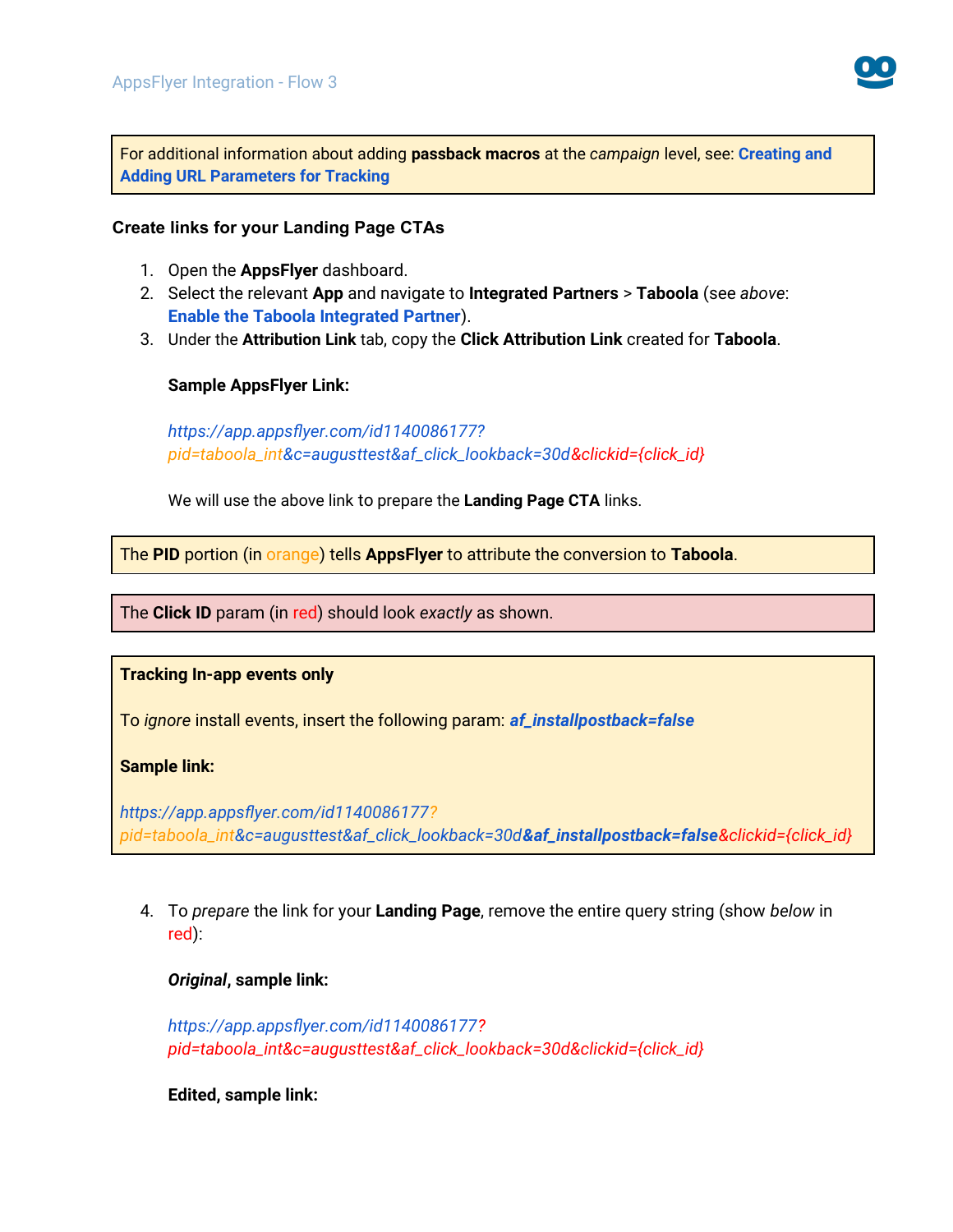

For additional information about adding **passback macros** at the *campaign* level, see: **[Creating and](https://help.taboola.com/hc/en-us/articles/115006030688-Creating-and-Adding-URL-Parameters-for-Tracking)  [Adding URL Parameters for Tracking](https://help.taboola.com/hc/en-us/articles/115006030688-Creating-and-Adding-URL-Parameters-for-Tracking)**

#### **Create links for your Landing Page CTAs**

- 1. Open the **AppsFlyer** dashboard.
- 2. Select the relevant **App** and navigate to **Integrated Partners** > **Taboola** (see *above*: **[Enable the Taboola Integrated Partner](#page-0-0)**).
- 3. Under the **Attribution Link** tab, copy the **Click Attribution Link** created for **Taboola**.

#### **Sample AppsFlyer Link:**

*https://app.appsflyer.com/id1140086177? pid=taboola\_int&c=augusttest&af\_click\_lookback=30d&clickid={click\_id}*

We will use the above link to prepare the **Landing Page CTA** links.

The **PID** portion (in orange) tells **AppsFlyer** to attribute the conversion to **Taboola**.

The **Click ID** param (in red) should look *exactly* as shown.

**Tracking In-app events only**

To *ignore* install events, insert the following param: *af\_installpostback=false*

#### **Sample link:**

*https://app.appsflyer.com/id1140086177? pid=taboola\_int&c=augusttest&af\_click\_lookback=30d&af\_installpostback=false&clickid={click\_id}*

4. To *prepare* the link for your **Landing Page**, remove the entire query string (show *below* in red):

*Original***, sample link:**

*https://app.appsflyer.com/id1140086177? pid=taboola\_int&c=augusttest&af\_click\_lookback=30d&clickid={click\_id}*

**Edited, sample link:**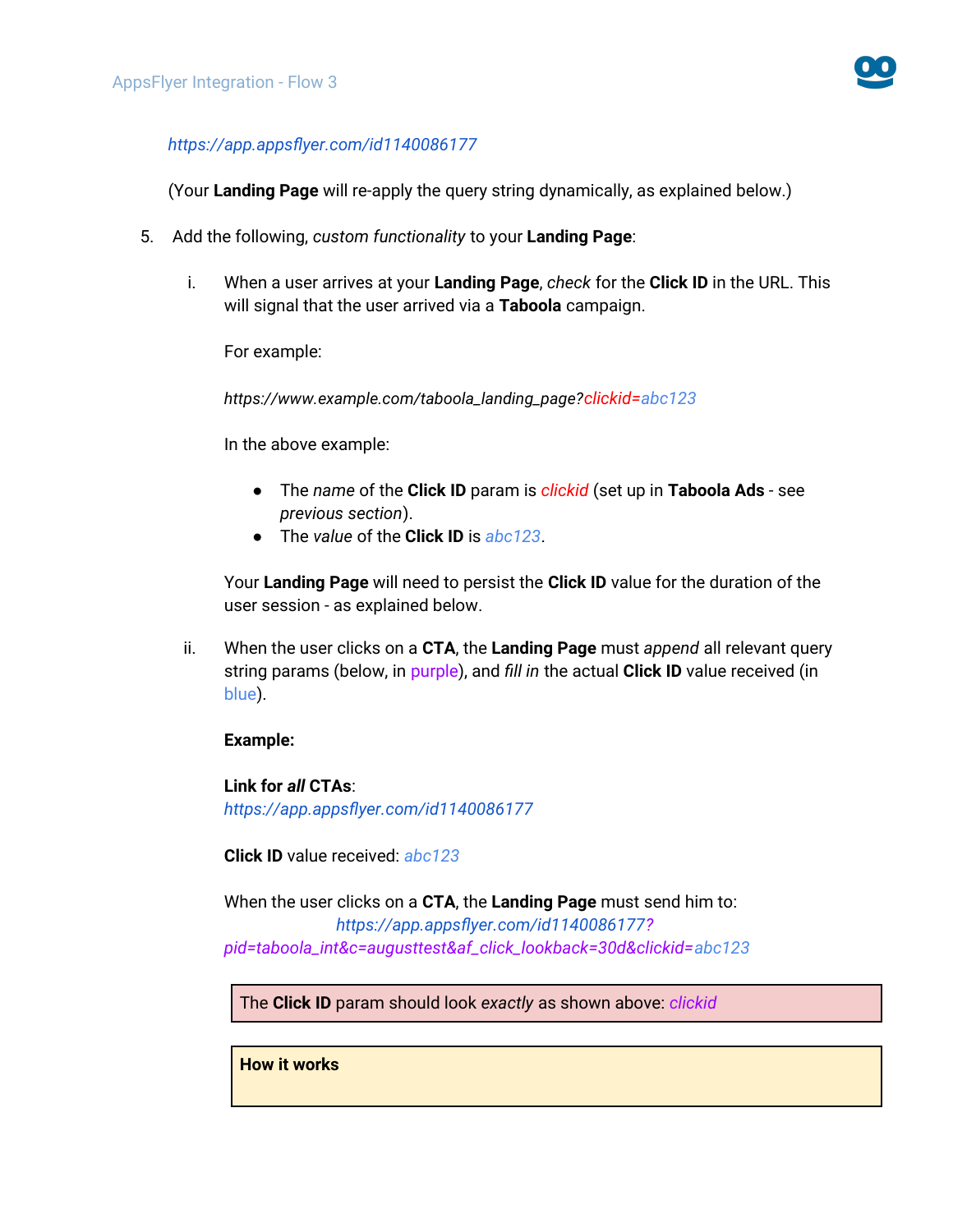

#### *https://app.appsflyer.com/id1140086177*

(Your **Landing Page** will re-apply the query string dynamically, as explained below.)

- 5. Add the following, *custom functionality* to your **Landing Page**:
	- i. When a user arrives at your **Landing Page**, *check* for the **Click ID** in the URL. This will signal that the user arrived via a **Taboola** campaign.

For example:

*https://www.example.com/taboola\_landing\_page?clickid=abc123*

In the above example:

- The *name* of the **Click ID** param is *clickid* (set up in **Taboola Ads** see *previous section*).
- The *value* of the **Click ID** is *abc123*.

Your **Landing Page** will need to persist the **Click ID** value for the duration of the user session - as explained below.

ii. When the user clicks on a **CTA**, the **Landing Page** must *append* all relevant query string params (below, in purple), and *fill in* the actual **Click ID** value received (in blue).

#### **Example:**

**Link for** *all* **CTAs**: *https://app.appsflyer.com/id1140086177*

**Click ID** value received: *abc123*

When the user clicks on a **CTA**, the **Landing Page** must send him to: *https://app.appsflyer.com/id1140086177? pid=taboola\_int&c=augusttest&af\_click\_lookback=30d&clickid=abc123*

The **Click ID** param should look *exactly* as shown above: *clickid*

**How it works**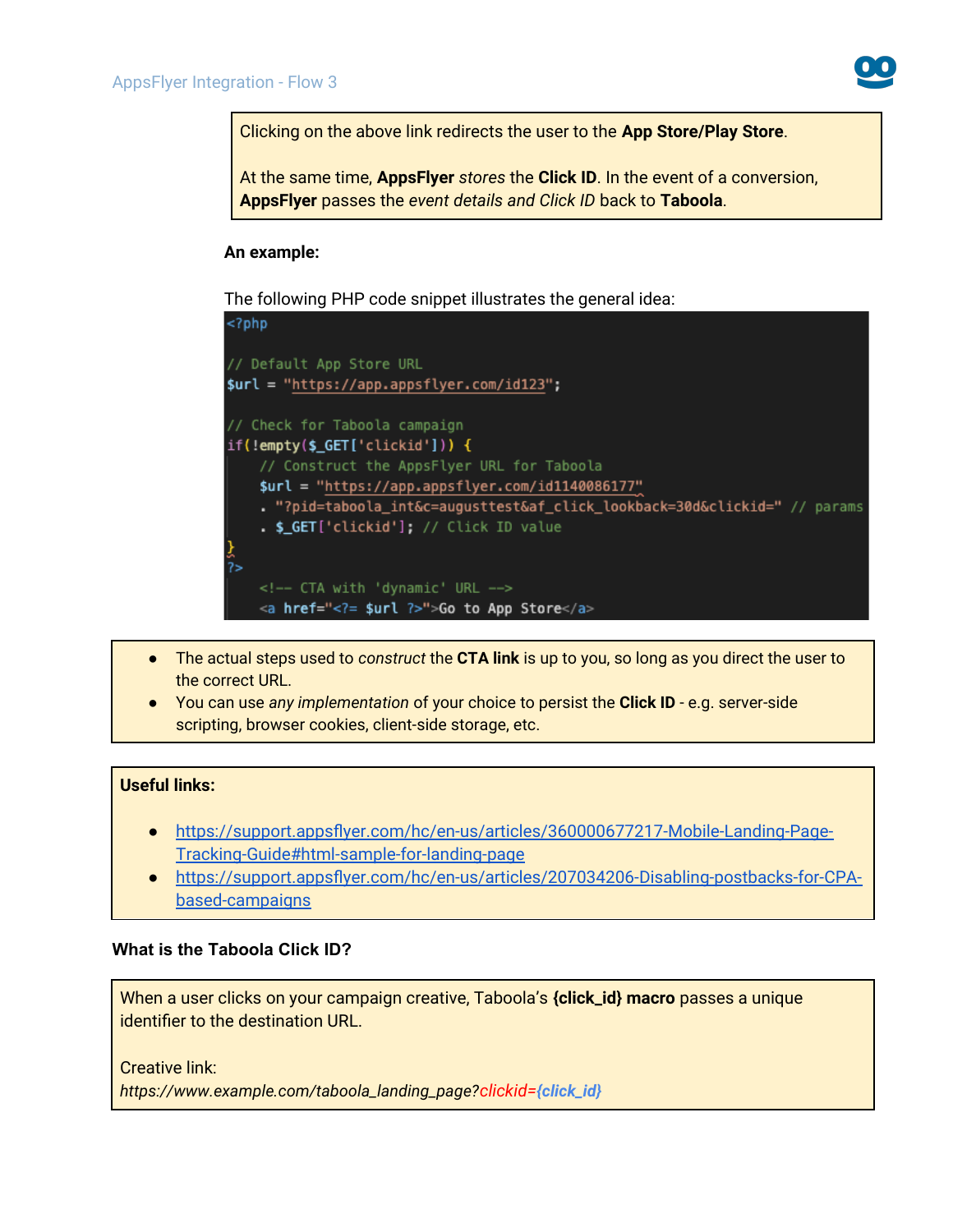

Clicking on the above link redirects the user to the **App Store/Play Store**.

At the same time, **AppsFlyer** *stores* the **Click ID**. In the event of a conversion, **AppsFlyer** passes the *event details and Click ID* back to **Taboola**.

#### **An example:**

The following PHP code snippet illustrates the general idea:



- The actual steps used to *construct* the **CTA link** is up to you, so long as you direct the user to the correct URL.
- You can use *any implementation* of your choice to persist the **Click ID** e.g. server-side scripting, browser cookies, client-side storage, etc.

#### **Useful links:**

- ● [https://support.appsflyer.com/hc/en-us/articles/360000677217-Mobile-Landing-Page-](https://support.appsflyer.com/hc/en-us/articles/360000677217-Mobile-Landing-Page-Tracking-Guide#html-sample-for-landing-page)[Tracking-Guide#html-sample-for-landing-page](https://support.appsflyer.com/hc/en-us/articles/360000677217-Mobile-Landing-Page-Tracking-Guide#html-sample-for-landing-page)
- [https://support.appsflyer.com/hc/en-us/articles/207034206-Disabling-postbacks-for-CPA](https://support.appsflyer.com/hc/en-us/articles/207034206-Disabling-postbacks-for-CPA-based-campaigns)[based-campaigns](https://support.appsflyer.com/hc/en-us/articles/207034206-Disabling-postbacks-for-CPA-based-campaigns)

#### **What is the Taboola Click ID?**

When a user clicks on your campaign creative, Taboola's **{click\_id} macro** passes a unique identifier to the destination URL.

Creative link:

*https://www.example.com/taboola\_landing\_page?clickid=[{click\\_id](https://app.adjust.com/ABC123?taboola_click_id=%7Bclick_id)}*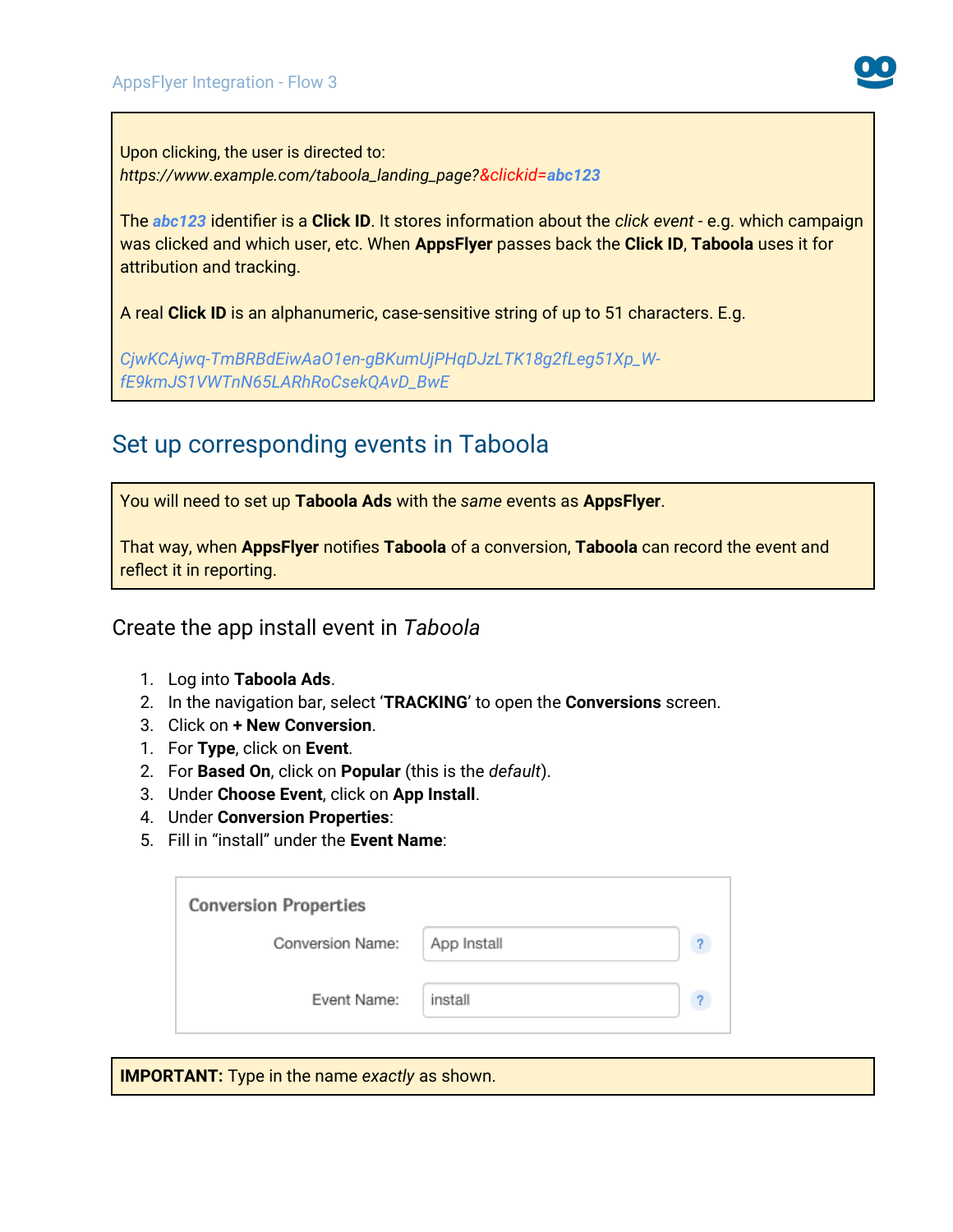Upon clicking, the user is directed to: *https://www.example.com/taboola\_landing\_page?&clickid=abc123*

The *abc123* identifier is a **Click ID**. It stores information about the *click event* - e.g. which campaign was clicked and which user, etc. When **AppsFlyer** passes back the **Click ID**, **Taboola** uses it for attribution and tracking.

A real **Click ID** is an alphanumeric, case-sensitive string of up to 51 characters. E.g.

*CjwKCAjwq-TmBRBdEiwAaO1en-gBKumUjPHqDJzLTK18g2fLeg51Xp\_WfE9kmJS1VWTnN65LARhRoCsekQAvD\_BwE*

# <span id="page-9-0"></span>Set up corresponding events in Taboola

You will need to set up **Taboola Ads** with the *same* events as **AppsFlyer**.

That way, when **AppsFlyer** notifies **Taboola** of a conversion, **Taboola** can record the event and reflect it in reporting.

<span id="page-9-1"></span>Create the app install event in *Taboola*

- 1. Log into **Taboola Ads**.
- 2. In the navigation bar, select '**TRACKING**' to open the **Conversions** screen.
- 3. Click on **+ New Conversion**.
- 1. For **Type**, click on **Event**.
- 2. For **Based On**, click on **Popular** (this is the *default*).
- 3. Under **Choose Event**, click on **App Install**.
- 4. Under **Conversion Properties**:
- 5. Fill in "install" under the **Event Name**:

| <b>Conversion Properties</b> |             |  |  |  |  |  |
|------------------------------|-------------|--|--|--|--|--|
| Conversion Name:             | App Install |  |  |  |  |  |
| Event Name:                  | install     |  |  |  |  |  |

**IMPORTANT:** Type in the name *exactly* as shown.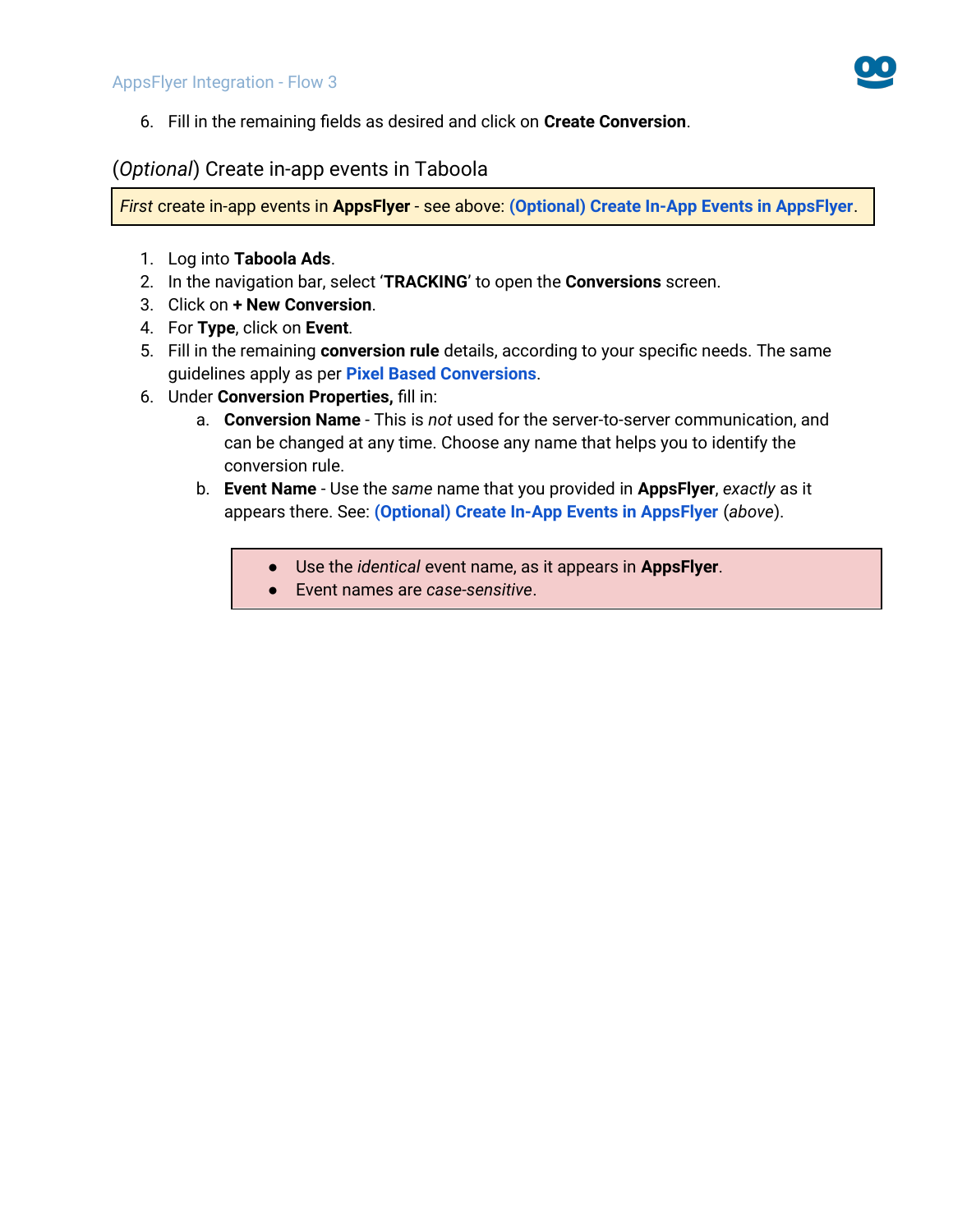

6. Fill in the remaining fields as desired and click on **Create Conversion**.

### <span id="page-10-0"></span>(*Optional*) Create in-app events in Taboola

*First* create in-app events in **AppsFlyer** - see above: **(Optional) Create In-App Events in AppsFlyer**.

- 1. Log into **Taboola Ads**.
- 2. In the navigation bar, select '**TRACKING**' to open the **Conversions** screen.
- 3. Click on **+ New Conversion**.
- 4. For **Type**, click on **Event**.
- 5. Fill in the remaining **conversion rule** details, according to your specific needs. The same guidelines apply as per **[Pixel Based Conversions](https://help.taboola.com/hc/en-us/articles/360003484314-Defining-and-Creating-Conversions)**.
- 6. Under **Conversion Properties,** fill in:
	- a. **Conversion Name** This is *not* used for the server-to-server communication, and can be changed at any time. Choose any name that helps you to identify the conversion rule.
	- b. **Event Name** Use the *same* name that you provided in **AppsFlyer**, *exactly* as it appears there. See: **(Optional) Create In-App Events in AppsFlyer** (*above*).
		- Use the *identical* event name, as it appears in **AppsFlyer**.
		- Event names are *case-sensitive*.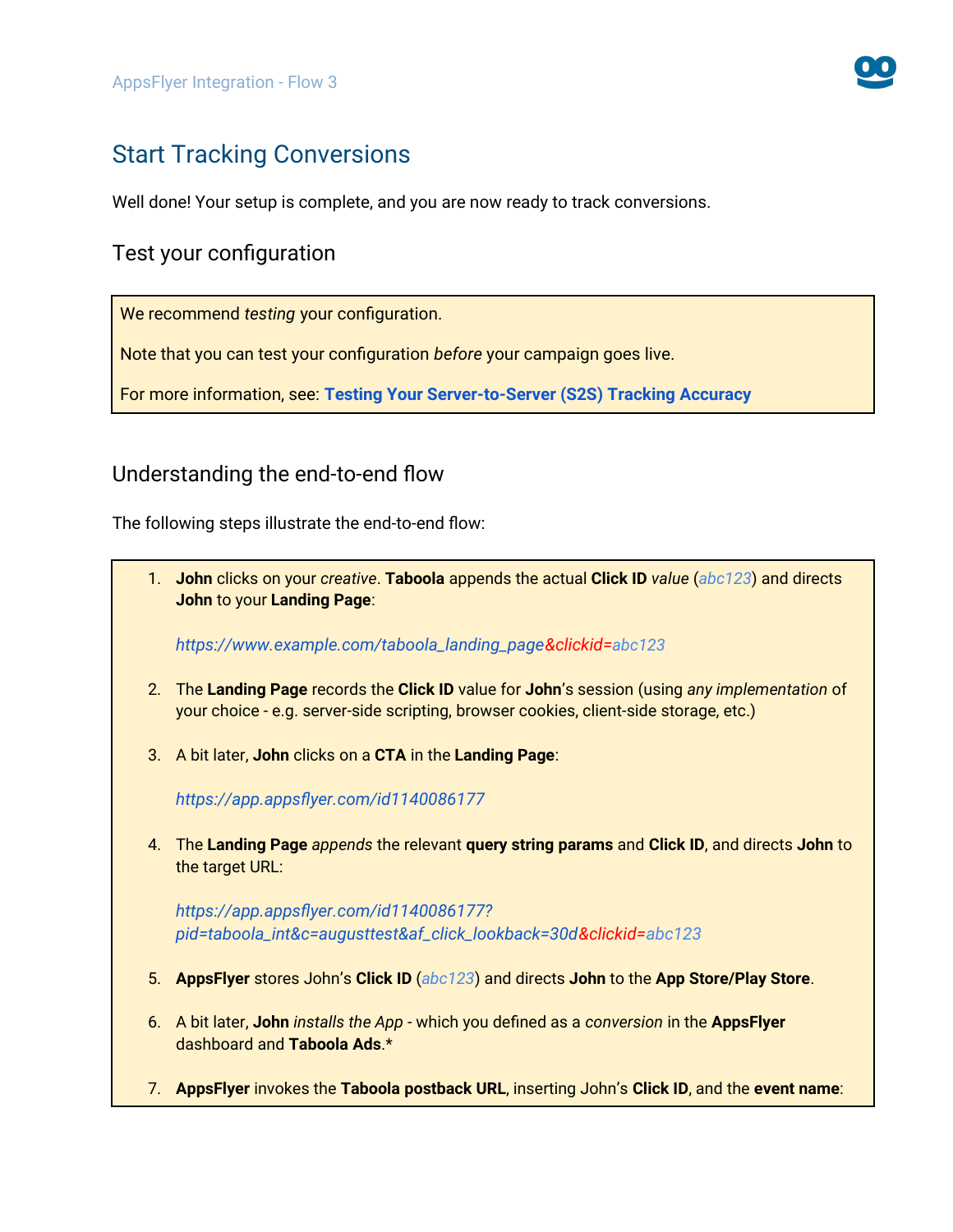

# Start Tracking Conversions

Well done! Your setup is complete, and you are now ready to track conversions.

### Test your configuration

We recommend *testing* your configuration.

Note that you can test your configuration *before* your campaign goes live.

For more information, see: **[Testing Your Server-to-Server \(S2S\) Tracking Accuracy](https://help.taboola.com/hc/en-us/articles/360046606733-Testing-Your-Server-to-Server-S2S-Tracking-Accuracy-)**

### Understanding the end-to-end flow

The following steps illustrate the end-to-end flow:

1. **John** clicks on your *creative*. **Taboola** appends the actual **Click ID** *value* (*abc123*) and directs **John** to your **Landing Page**:

*https://www.example.com/taboola\_landing\_page&clickid=abc123*

- 2. The **Landing Page** records the **Click ID** value for **John**'s session (using *any implementation* of your choice - e.g. server-side scripting, browser cookies, client-side storage, etc.)
- 3. A bit later, **John** clicks on a **CTA** in the **Landing Page**:

*https://app.appsflyer.com/id1140086177*

4. The **Landing Page** *appends* the relevant **query string params** and **Click ID**, and directs **John** to the target URL:

*https://app.appsflyer.com/id1140086177? pid=taboola\_int&c=augusttest&af\_click\_lookback=30d&clickid=abc123*

- 5. **AppsFlyer** stores John's **Click ID** (*abc123*) and directs **John** to the **App Store/Play Store**.
- 6. A bit later, **John** *installs the App* which you defined as a *conversion* in the **AppsFlyer** dashboard and **Taboola Ads**.\*
- 7. **AppsFlyer** invokes the **Taboola postback URL**, inserting John's **Click ID**, and the **event name**: